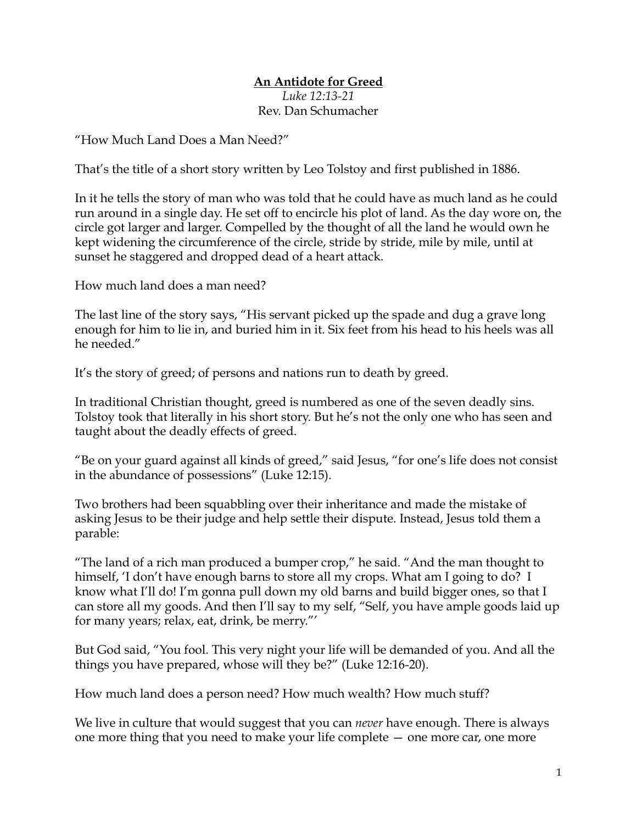## **An Antidote for Greed** *Luke 12:13-21*

Rev. Dan Schumacher

"How Much Land Does a Man Need?"

That's the title of a short story written by Leo Tolstoy and first published in 1886.

In it he tells the story of man who was told that he could have as much land as he could run around in a single day. He set off to encircle his plot of land. As the day wore on, the circle got larger and larger. Compelled by the thought of all the land he would own he kept widening the circumference of the circle, stride by stride, mile by mile, until at sunset he staggered and dropped dead of a heart attack.

How much land does a man need?

The last line of the story says, "His servant picked up the spade and dug a grave long enough for him to lie in, and buried him in it. Six feet from his head to his heels was all he needed."

It's the story of greed; of persons and nations run to death by greed.

In traditional Christian thought, greed is numbered as one of the seven deadly sins. Tolstoy took that literally in his short story. But he's not the only one who has seen and taught about the deadly effects of greed.

"Be on your guard against all kinds of greed," said Jesus, "for one's life does not consist in the abundance of possessions" (Luke 12:15).

Two brothers had been squabbling over their inheritance and made the mistake of asking Jesus to be their judge and help settle their dispute. Instead, Jesus told them a parable:

"The land of a rich man produced a bumper crop," he said. "And the man thought to himself, 'I don't have enough barns to store all my crops. What am I going to do? I know what I'll do! I'm gonna pull down my old barns and build bigger ones, so that I can store all my goods. And then I'll say to my self, "Self, you have ample goods laid up for many years; relax, eat, drink, be merry."'

But God said, "You fool. This very night your life will be demanded of you. And all the things you have prepared, whose will they be?" (Luke 12:16-20).

How much land does a person need? How much wealth? How much stuff?

We live in culture that would suggest that you can *never* have enough. There is always one more thing that you need to make your life complete — one more car, one more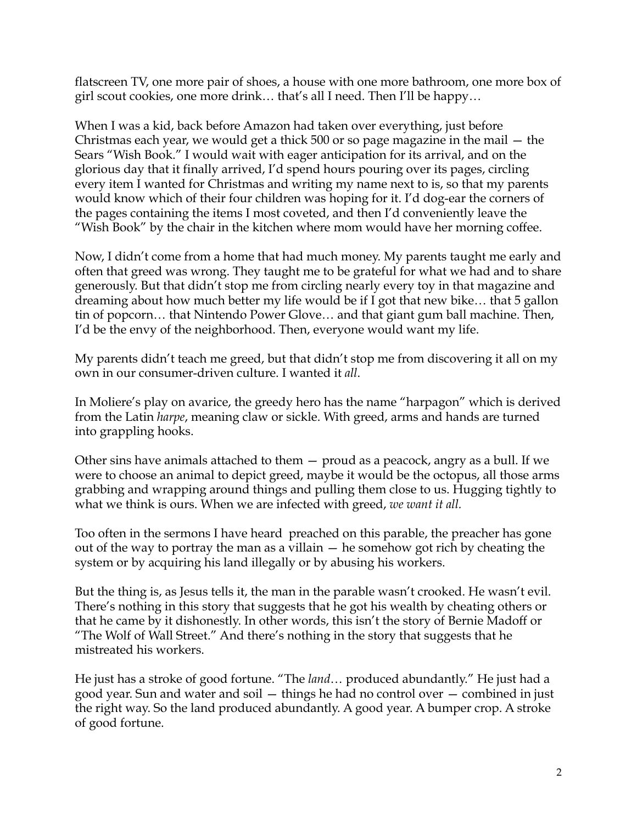flatscreen TV, one more pair of shoes, a house with one more bathroom, one more box of girl scout cookies, one more drink… that's all I need. Then I'll be happy…

When I was a kid, back before Amazon had taken over everything, just before Christmas each year, we would get a thick 500 or so page magazine in the mail — the Sears "Wish Book." I would wait with eager anticipation for its arrival, and on the glorious day that it finally arrived, I'd spend hours pouring over its pages, circling every item I wanted for Christmas and writing my name next to is, so that my parents would know which of their four children was hoping for it. I'd dog-ear the corners of the pages containing the items I most coveted, and then I'd conveniently leave the "Wish Book" by the chair in the kitchen where mom would have her morning coffee.

Now, I didn't come from a home that had much money. My parents taught me early and often that greed was wrong. They taught me to be grateful for what we had and to share generously. But that didn't stop me from circling nearly every toy in that magazine and dreaming about how much better my life would be if I got that new bike… that 5 gallon tin of popcorn… that Nintendo Power Glove… and that giant gum ball machine. Then, I'd be the envy of the neighborhood. Then, everyone would want my life.

My parents didn't teach me greed, but that didn't stop me from discovering it all on my own in our consumer-driven culture. I wanted it *all*.

In Moliere's play on avarice, the greedy hero has the name "harpagon" which is derived from the Latin *harpe*, meaning claw or sickle. With greed, arms and hands are turned into grappling hooks.

Other sins have animals attached to them — proud as a peacock, angry as a bull. If we were to choose an animal to depict greed, maybe it would be the octopus, all those arms grabbing and wrapping around things and pulling them close to us. Hugging tightly to what we think is ours. When we are infected with greed, *we want it all.*

Too often in the sermons I have heard preached on this parable, the preacher has gone out of the way to portray the man as a villain — he somehow got rich by cheating the system or by acquiring his land illegally or by abusing his workers.

But the thing is, as Jesus tells it, the man in the parable wasn't crooked. He wasn't evil. There's nothing in this story that suggests that he got his wealth by cheating others or that he came by it dishonestly. In other words, this isn't the story of Bernie Madoff or "The Wolf of Wall Street." And there's nothing in the story that suggests that he mistreated his workers.

He just has a stroke of good fortune. "The *land*… produced abundantly." He just had a good year. Sun and water and soil — things he had no control over — combined in just the right way. So the land produced abundantly. A good year. A bumper crop. A stroke of good fortune.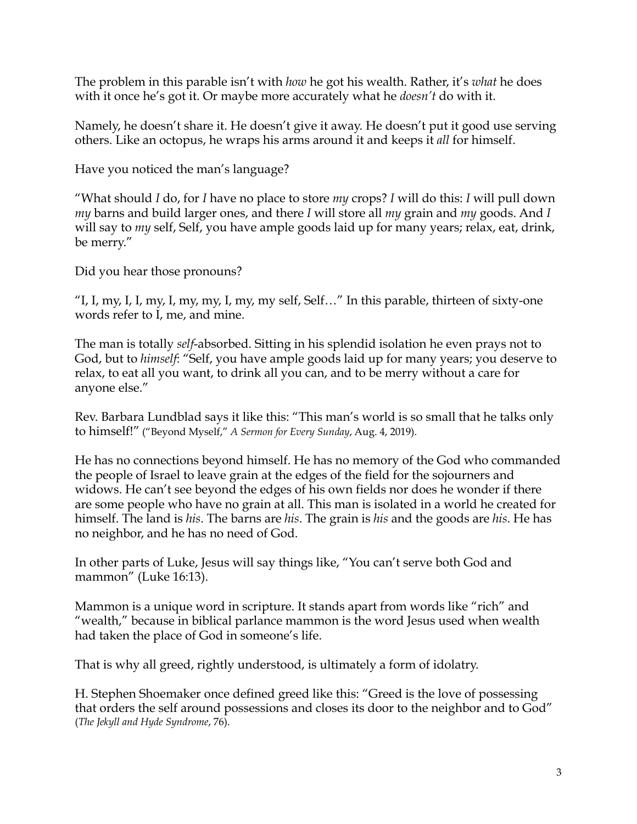The problem in this parable isn't with *how* he got his wealth. Rather, it's *what* he does with it once he's got it. Or maybe more accurately what he *doesn't* do with it.

Namely, he doesn't share it. He doesn't give it away. He doesn't put it good use serving others. Like an octopus, he wraps his arms around it and keeps it *all* for himself.

Have you noticed the man's language?

"What should *I* do, for *I* have no place to store *my* crops? *I* will do this: *I* will pull down *my* barns and build larger ones, and there *I* will store all *my* grain and *my* goods. And *I* will say to *my* self, Self, you have ample goods laid up for many years; relax, eat, drink, be merry."

Did you hear those pronouns?

"I, I, my, I, I, my, I, my, my, I, my, my self, Self…" In this parable, thirteen of sixty-one words refer to I, me, and mine.

The man is totally *self*-absorbed. Sitting in his splendid isolation he even prays not to God, but to *himself*: "Self, you have ample goods laid up for many years; you deserve to relax, to eat all you want, to drink all you can, and to be merry without a care for anyone else."

Rev. Barbara Lundblad says it like this: "This man's world is so small that he talks only to himself!" ("Beyond Myself," *A Sermon for Every Sunday*, Aug. 4, 2019).

He has no connections beyond himself. He has no memory of the God who commanded the people of Israel to leave grain at the edges of the field for the sojourners and widows. He can't see beyond the edges of his own fields nor does he wonder if there are some people who have no grain at all. This man is isolated in a world he created for himself. The land is *his*. The barns are *his*. The grain is *his* and the goods are *his*. He has no neighbor, and he has no need of God.

In other parts of Luke, Jesus will say things like, "You can't serve both God and mammon" (Luke 16:13).

Mammon is a unique word in scripture. It stands apart from words like "rich" and "wealth," because in biblical parlance mammon is the word Jesus used when wealth had taken the place of God in someone's life.

That is why all greed, rightly understood, is ultimately a form of idolatry.

H. Stephen Shoemaker once defined greed like this: "Greed is the love of possessing that orders the self around possessions and closes its door to the neighbor and to God" (*The Jekyll and Hyde Syndrome*, 76).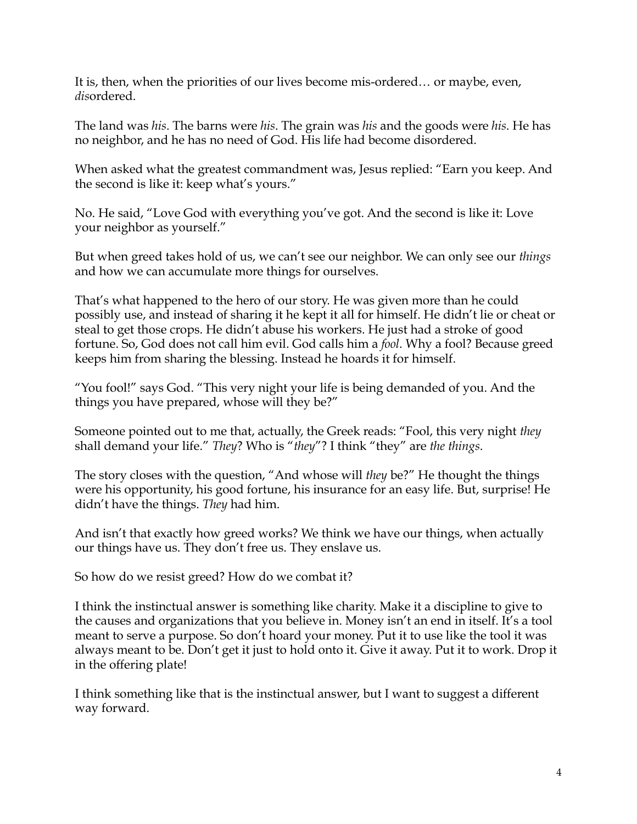It is, then, when the priorities of our lives become mis-ordered… or maybe, even, *dis*ordered.

The land was *his*. The barns were *his*. The grain was *his* and the goods were *his*. He has no neighbor, and he has no need of God. His life had become disordered.

When asked what the greatest commandment was, Jesus replied: "Earn you keep. And the second is like it: keep what's yours."

No. He said, "Love God with everything you've got. And the second is like it: Love your neighbor as yourself."

But when greed takes hold of us, we can't see our neighbor. We can only see our *things* and how we can accumulate more things for ourselves.

That's what happened to the hero of our story. He was given more than he could possibly use, and instead of sharing it he kept it all for himself. He didn't lie or cheat or steal to get those crops. He didn't abuse his workers. He just had a stroke of good fortune. So, God does not call him evil. God calls him a *fool*. Why a fool? Because greed keeps him from sharing the blessing. Instead he hoards it for himself.

"You fool!" says God. "This very night your life is being demanded of you. And the things you have prepared, whose will they be?"

Someone pointed out to me that, actually, the Greek reads: "Fool, this very night *they* shall demand your life." *They*? Who is "*they*"? I think "they" are *the things*.

The story closes with the question, "And whose will *they* be?" He thought the things were his opportunity, his good fortune, his insurance for an easy life. But, surprise! He didn't have the things. *They* had him.

And isn't that exactly how greed works? We think we have our things, when actually our things have us. They don't free us. They enslave us.

So how do we resist greed? How do we combat it?

I think the instinctual answer is something like charity. Make it a discipline to give to the causes and organizations that you believe in. Money isn't an end in itself. It's a tool meant to serve a purpose. So don't hoard your money. Put it to use like the tool it was always meant to be. Don't get it just to hold onto it. Give it away. Put it to work. Drop it in the offering plate!

I think something like that is the instinctual answer, but I want to suggest a different way forward.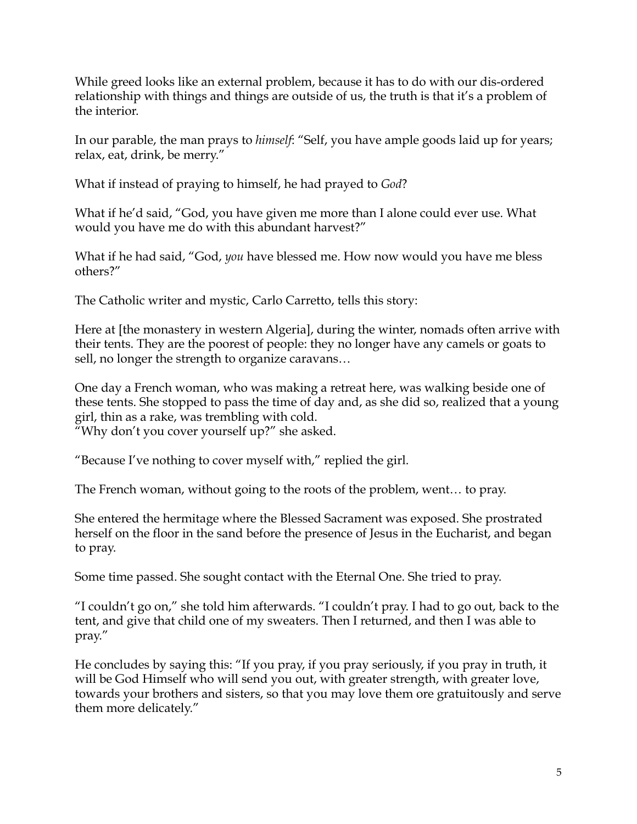While greed looks like an external problem, because it has to do with our dis-ordered relationship with things and things are outside of us, the truth is that it's a problem of the interior.

In our parable, the man prays to *himself*: "Self, you have ample goods laid up for years; relax, eat, drink, be merry."

What if instead of praying to himself, he had prayed to *God*?

What if he'd said, "God, you have given me more than I alone could ever use. What would you have me do with this abundant harvest?"

What if he had said, "God, *you* have blessed me. How now would you have me bless others?"

The Catholic writer and mystic, Carlo Carretto, tells this story:

Here at [the monastery in western Algeria], during the winter, nomads often arrive with their tents. They are the poorest of people: they no longer have any camels or goats to sell, no longer the strength to organize caravans…

One day a French woman, who was making a retreat here, was walking beside one of these tents. She stopped to pass the time of day and, as she did so, realized that a young girl, thin as a rake, was trembling with cold.

"Why don't you cover yourself up?" she asked.

"Because I've nothing to cover myself with," replied the girl.

The French woman, without going to the roots of the problem, went… to pray.

She entered the hermitage where the Blessed Sacrament was exposed. She prostrated herself on the floor in the sand before the presence of Jesus in the Eucharist, and began to pray.

Some time passed. She sought contact with the Eternal One. She tried to pray.

"I couldn't go on," she told him afterwards. "I couldn't pray. I had to go out, back to the tent, and give that child one of my sweaters. Then I returned, and then I was able to pray."

He concludes by saying this: "If you pray, if you pray seriously, if you pray in truth, it will be God Himself who will send you out, with greater strength, with greater love, towards your brothers and sisters, so that you may love them ore gratuitously and serve them more delicately."